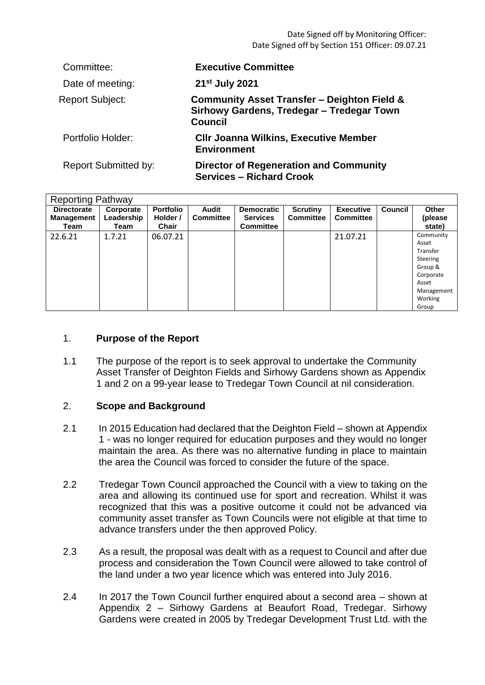Date Signed off by Monitoring Officer: Date Signed off by Section 151 Officer: 09.07.21

| Committee:                  | <b>Executive Committee</b>                                                                                            |
|-----------------------------|-----------------------------------------------------------------------------------------------------------------------|
| Date of meeting:            | 21 <sup>st</sup> July 2021                                                                                            |
| <b>Report Subject:</b>      | <b>Community Asset Transfer - Deighton Field &amp;</b><br>Sirhowy Gardens, Tredegar - Tredegar Town<br><b>Council</b> |
| Portfolio Holder:           | <b>CIIr Joanna Wilkins, Executive Member</b><br><b>Environment</b>                                                    |
| <b>Report Submitted by:</b> | <b>Director of Regeneration and Community</b><br><b>Services - Richard Crook</b>                                      |

| <b>Reporting Pathway</b>  |                    |                   |                  |                                     |                  |                  |         |                                                                                                               |  |  |
|---------------------------|--------------------|-------------------|------------------|-------------------------------------|------------------|------------------|---------|---------------------------------------------------------------------------------------------------------------|--|--|
| <b>Directorate</b>        | Corporate          | <b>Portfolio</b>  | Audit            | <b>Democratic</b>                   | <b>Scrutiny</b>  | <b>Executive</b> | Council | <b>Other</b>                                                                                                  |  |  |
| <b>Management</b><br>Team | Leadership<br>Team | Holder /<br>Chair | <b>Committee</b> | <b>Services</b><br><b>Committee</b> | <b>Committee</b> | <b>Committee</b> |         | (please<br>state)                                                                                             |  |  |
| 22.6.21                   | 1.7.21             | 06.07.21          |                  |                                     |                  | 21.07.21         |         | Community<br>Asset<br>Transfer<br>Steering<br>Group &<br>Corporate<br>Asset<br>Management<br>Working<br>Group |  |  |

#### 1. **Purpose of the Report**

1.1 The purpose of the report is to seek approval to undertake the Community Asset Transfer of Deighton Fields and Sirhowy Gardens shown as Appendix 1 and 2 on a 99-year lease to Tredegar Town Council at nil consideration.

### 2. **Scope and Background**

- 2.1 In 2015 Education had declared that the Deighton Field – shown at Appendix 1 - was no longer required for education purposes and they would no longer maintain the area. As there was no alternative funding in place to maintain the area the Council was forced to consider the future of the space.
- 2.2 Tredegar Town Council approached the Council with a view to taking on the area and allowing its continued use for sport and recreation. Whilst it was recognized that this was a positive outcome it could not be advanced via community asset transfer as Town Councils were not eligible at that time to advance transfers under the then approved Policy.
- 2.3 As a result, the proposal was dealt with as a request to Council and after due process and consideration the Town Council were allowed to take control of the land under a two year licence which was entered into July 2016.
- 2.4 In 2017 the Town Council further enquired about a second area – shown at Appendix 2 – Sirhowy Gardens at Beaufort Road, Tredegar. Sirhowy Gardens were created in 2005 by Tredegar Development Trust Ltd. with the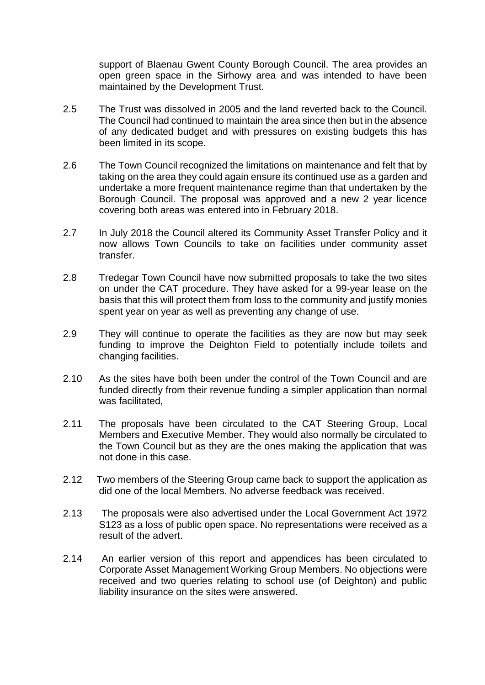support of Blaenau Gwent County Borough Council. The area provides an open green space in the Sirhowy area and was intended to have been maintained by the Development Trust.

- 2.5 The Trust was dissolved in 2005 and the land reverted back to the Council. The Council had continued to maintain the area since then but in the absence of any dedicated budget and with pressures on existing budgets this has been limited in its scope.
- 2.6 The Town Council recognized the limitations on maintenance and felt that by taking on the area they could again ensure its continued use as a garden and undertake a more frequent maintenance regime than that undertaken by the Borough Council. The proposal was approved and a new 2 year licence covering both areas was entered into in February 2018.
- 2.7 In July 2018 the Council altered its Community Asset Transfer Policy and it now allows Town Councils to take on facilities under community asset transfer.
- 2.8 Tredegar Town Council have now submitted proposals to take the two sites on under the CAT procedure. They have asked for a 99-year lease on the basis that this will protect them from loss to the community and justify monies spent year on year as well as preventing any change of use.
- 2.9 They will continue to operate the facilities as they are now but may seek funding to improve the Deighton Field to potentially include toilets and changing facilities.
- 2.10 As the sites have both been under the control of the Town Council and are funded directly from their revenue funding a simpler application than normal was facilitated,
- 2.11 The proposals have been circulated to the CAT Steering Group, Local Members and Executive Member. They would also normally be circulated to the Town Council but as they are the ones making the application that was not done in this case.
- 2.12 Two members of the Steering Group came back to support the application as did one of the local Members. No adverse feedback was received.
- 2.13 The proposals were also advertised under the Local Government Act 1972 S123 as a loss of public open space. No representations were received as a result of the advert.
- 2.14 An earlier version of this report and appendices has been circulated to Corporate Asset Management Working Group Members. No objections were received and two queries relating to school use (of Deighton) and public liability insurance on the sites were answered.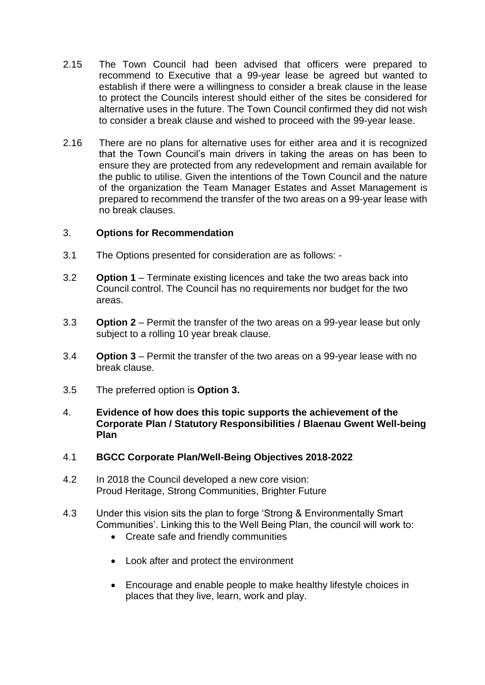- 2.15 The Town Council had been advised that officers were prepared to recommend to Executive that a 99-year lease be agreed but wanted to establish if there were a willingness to consider a break clause in the lease to protect the Councils interest should either of the sites be considered for alternative uses in the future. The Town Council confirmed they did not wish to consider a break clause and wished to proceed with the 99-year lease.
- 2.16 There are no plans for alternative uses for either area and it is recognized that the Town Council's main drivers in taking the areas on has been to ensure they are protected from any redevelopment and remain available for the public to utilise. Given the intentions of the Town Council and the nature of the organization the Team Manager Estates and Asset Management is prepared to recommend the transfer of the two areas on a 99-year lease with no break clauses.

## 3. **Options for Recommendation**

- 3.1 The Options presented for consideration are as follows: -
- 3.2 **Option 1** – Terminate existing licences and take the two areas back into Council control. The Council has no requirements nor budget for the two areas.
- 3.3 **Option 2** – Permit the transfer of the two areas on a 99-year lease but only subject to a rolling 10 year break clause.
- 3.4 **Option 3** – Permit the transfer of the two areas on a 99-year lease with no break clause.
- 3.5 The preferred option is **Option 3.**
- 4. **Evidence of how does this topic supports the achievement of the Corporate Plan / Statutory Responsibilities / Blaenau Gwent Well-being Plan**
- 4.1 **BGCC Corporate Plan/Well-Being Objectives 2018-2022**
- 4.2 In 2018 the Council developed a new core vision: Proud Heritage, Strong Communities, Brighter Future
- 4.3 Under this vision sits the plan to forge 'Strong & Environmentally Smart Communities'. Linking this to the Well Being Plan, the council will work to:
	- Create safe and friendly communities
	- Look after and protect the environment
	- Encourage and enable people to make healthy lifestyle choices in places that they live, learn, work and play.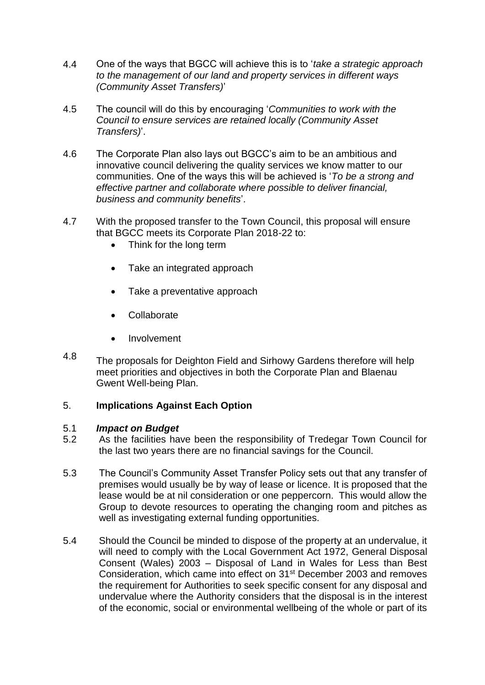- 4.4 One of the ways that BGCC will achieve this is to '*take a strategic approach to the management of our land and property services in different ways (Community Asset Transfers)*'
- 4.5 The council will do this by encouraging '*Communities to work with the Council to ensure services are retained locally (Community Asset Transfers)*'.
- 4.6 The Corporate Plan also lays out BGCC's aim to be an ambitious and innovative council delivering the quality services we know matter to our communities. One of the ways this will be achieved is '*To be a strong and effective partner and collaborate where possible to deliver financial, business and community benefits*'.
- 4.7 With the proposed transfer to the Town Council, this proposal will ensure that BGCC meets its Corporate Plan 2018-22 to:
	- Think for the long term
	- Take an integrated approach
	- Take a preventative approach
	- Collaborate
	- **•** Involvement
- 4.8 The proposals for Deighton Field and Sirhowy Gardens therefore will help meet priorities and objectives in both the Corporate Plan and Blaenau Gwent Well-being Plan.

## 5. **Implications Against Each Option**

#### 5.1 *Impact on Budget*

- 5.2 As the facilities have been the responsibility of Tredegar Town Council for the last two years there are no financial savings for the Council.
- 5.3 The Council's Community Asset Transfer Policy sets out that any transfer of premises would usually be by way of lease or licence. It is proposed that the lease would be at nil consideration or one peppercorn. This would allow the Group to devote resources to operating the changing room and pitches as well as investigating external funding opportunities.
- 5.4 Should the Council be minded to dispose of the property at an undervalue, it will need to comply with the Local Government Act 1972, General Disposal Consent (Wales) 2003 – Disposal of Land in Wales for Less than Best Consideration, which came into effect on 31st December 2003 and removes the requirement for Authorities to seek specific consent for any disposal and undervalue where the Authority considers that the disposal is in the interest of the economic, social or environmental wellbeing of the whole or part of its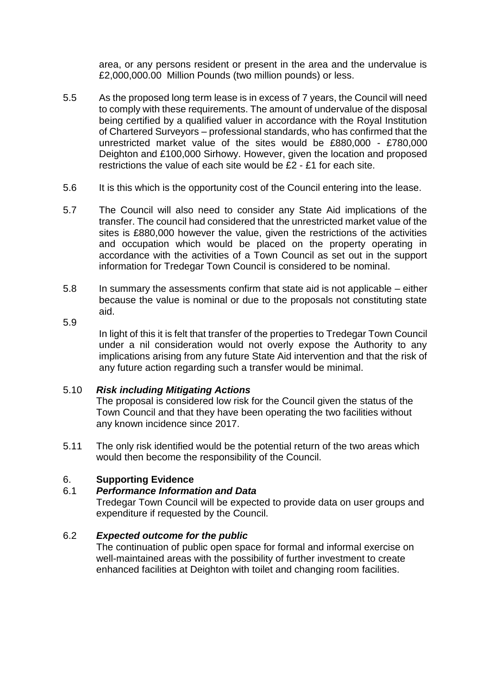area, or any persons resident or present in the area and the undervalue is £2,000,000.00 Million Pounds (two million pounds) or less.

- 5.5 As the proposed long term lease is in excess of 7 years, the Council will need to comply with these requirements. The amount of undervalue of the disposal being certified by a qualified valuer in accordance with the Royal Institution of Chartered Surveyors – professional standards, who has confirmed that the unrestricted market value of the sites would be £880,000 - £780,000 Deighton and £100,000 Sirhowy. However, given the location and proposed restrictions the value of each site would be £2 - £1 for each site.
- 5.6 It is this which is the opportunity cost of the Council entering into the lease.
- 5.7 The Council will also need to consider any State Aid implications of the transfer. The council had considered that the unrestricted market value of the sites is £880,000 however the value, given the restrictions of the activities and occupation which would be placed on the property operating in accordance with the activities of a Town Council as set out in the support information for Tredegar Town Council is considered to be nominal.
- 5.8 In summary the assessments confirm that state aid is not applicable – either because the value is nominal or due to the proposals not constituting state aid.
- 5.9

In light of this it is felt that transfer of the properties to Tredegar Town Council under a nil consideration would not overly expose the Authority to any implications arising from any future State Aid intervention and that the risk of any future action regarding such a transfer would be minimal.

### 5.10 *Risk including Mitigating Actions*

The proposal is considered low risk for the Council given the status of the Town Council and that they have been operating the two facilities without any known incidence since 2017.

5.11 The only risk identified would be the potential return of the two areas which would then become the responsibility of the Council.

# 6. **Supporting Evidence**

# 6.1 *Performance Information and Data*

Tredegar Town Council will be expected to provide data on user groups and expenditure if requested by the Council.

# 6.2 *Expected outcome for the public*

The continuation of public open space for formal and informal exercise on well-maintained areas with the possibility of further investment to create enhanced facilities at Deighton with toilet and changing room facilities.